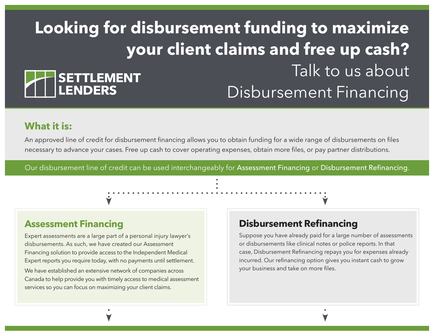# **Looking for disbursement funding to maximize your client claims and free up cash?** Talk to us about **SETTLEMENT** LENDERS Disbursement Financing

# **What it is:**

An approved line of credit for disbursement financing allows you to obtain funding for a wide range of disbursements on files necessary to advance your cases. Free up cash to cover operating expenses, obtain more files, or pay partner distributions.

Our disbursement line of credit can be used interchangeably for Assessment Financing or Disbursement Refinancing.

# **Assessment Financing**

Expert assessments are a large part of a personal injury lawyer's disbursements. As such, we have created our Assessment Financing solution to provide access to the Independent Medical Expert reports you require today, with no payments until settlement.

We have established an extensive network of companies across Canada to help provide you with timely access to medical assessment services so you can focus on maximizing your client claims.

# **Disbursement Refinancing**

Suppose you have already paid for a large number of assessments or disbursements like clinical notes or police reports. In that case, Disbursement Refinancing repays you for expenses already incurred. Our refinancing option gives you instant cash to grow your business and take on more files.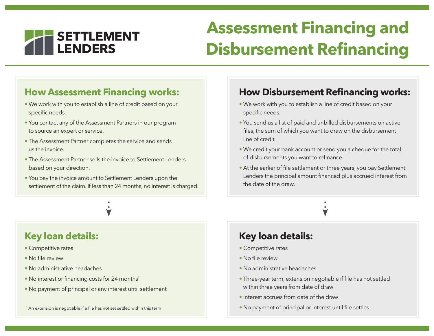

# **Assessment Financing and Disbursement Refinancing**

# **How Assessment Financing works:**

- We work with you to establish a line of credit based on your specific needs.
- You contact any of the Assessment Partners in our program to source an expert or service.
- The Assessment Partner completes the service and sends us the invoice.
- The Assessment Partner sells the invoice to Settlement Lenders based on your direction.
- You pay the invoice amount to Settlement Lenders upon the settlement of the claim. If less than 24 months, no interest is charged.

# **Key loan details:**

- Competitive rates
- No file review
- No administrative headaches
- No interest or financing costs for 24 months\*
- No payment of principal or any interest until settlement

#### \* An extension is negotiable if a file has not set settled within this term

## **How Disbursement Refinancing works:**

- We work with you to establish a line of credit based on your specific needs.
- You send us a list of paid and unbilled disbursements on active files, the sum of which you want to draw on the disbursement line of credit.
- We credit your bank account or send you a cheque for the total of disbursements you want to refinance.
- At the earlier of file settlement or three years, you pay Settlement Lenders the principal amount financed plus accrued interest from the date of the draw.

## **Key loan details:**

- Competitive rates
- No file review
- No administrative headaches
- Three-year term, extension negotiable if file has not settled within three years from date of draw
- Interest accrues from date of the draw
- No payment of principal or interest until file settles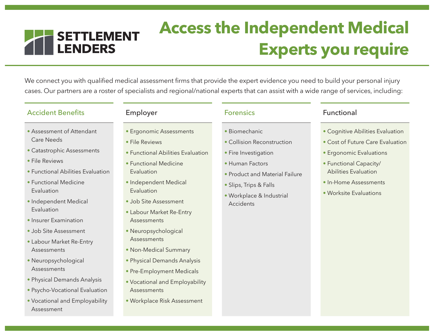

# **Access the Independent Medical Experts you require**

We connect you with qualified medical assessment firms that provide the expert evidence you need to build your personal injury cases. Our partners are a roster of specialists and regional/national experts that can assist with a wide range of services, including:

### Accident Benefits **Employer** Employer Forensics Functional

- Assessment of Attendant Care Needs
- Catastrophic Assessments
- File Reviews
- Functional Abilities Evaluation
- Functional Medicine Evaluation
- Independent Medical Evaluation
- Insurer Examination
- Job Site Assessment
- Labour Market Re-Entry **Assessments**
- Neuropsychological Assessments
- Physical Demands Analysis
- Psycho-Vocational Evaluation
- Vocational and Employability Assessment

- Ergonomic Assessments
- File Reviews
- Functional Abilities Evaluation
- Functional Medicine Evaluation
- Independent Medical **Evaluation**
- Job Site Assessment
- Labour Market Re-Entry Assessments
- Neuropsychological Assessments
- Non-Medical Summary
- Physical Demands Analysis
- Pre-Employment Medicals
- Vocational and Employability Assessments
- Workplace Risk Assessment

- Biomechanic
- Collision Reconstruction
- Fire Investigation
- Human Factors
- Product and Material Failure
- Slips, Trips & Falls
- Workplace & Industrial Accidents

- Cognitive Abilities Evaluation
- Cost of Future Care Evaluation
- Ergonomic Evaluations
- Functional Capacity/ Abilities Evaluation
- In-Home Assessments
- Worksite Evaluations